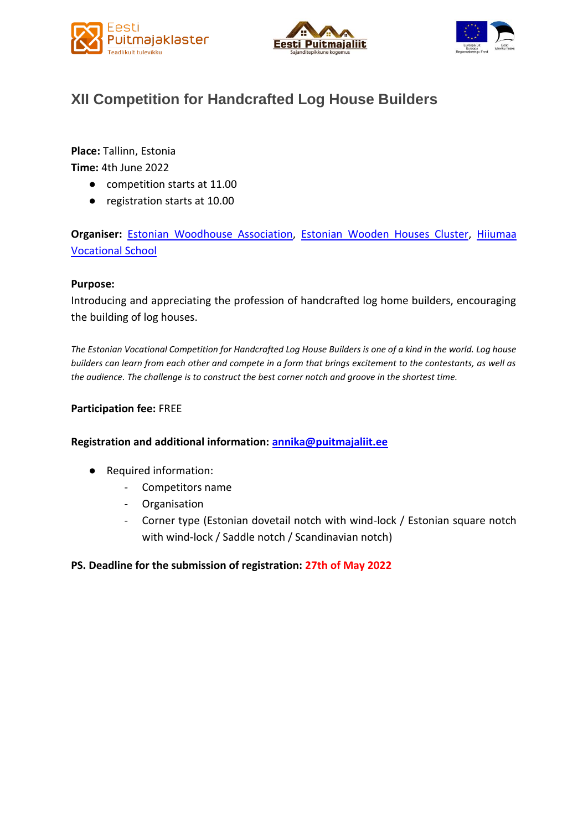





# **XII Competition for Handcrafted Log House Builders**

**Place:** Tallinn, Estonia

**Time:** 4th June 2022

- competition starts at 11.00
- registration starts at 10.00

**Organiser:** [Estonian Woodhouse Association,](https://puitmajaliit.ee/en) [Estonian Wooden Houses Cluster,](https://woodhouse.ee/en/) [Hiiumaa](https://www.hak.edu.ee/en)  [Vocational School](https://www.hak.edu.ee/en)

## **Purpose:**

Introducing and appreciating the profession of handcrafted log home builders, encouraging the building of log houses.

*The Estonian Vocational Competition for Handcrafted Log House Builders is one of a kind in the world. Log house builders can learn from each other and compete in a form that brings excitement to the contestants, as well as the audience. The challenge is to construct the best corner notch and groove in the shortest time.*

### **Participation fee:** FREE

### **Registration and additional information: [annika@puitmajaliit.ee](mailto:annika@puitmajaliit.ee)**

- Required information:
	- Competitors name
	- **Organisation**
	- Corner type (Estonian dovetail notch with wind-lock / Estonian square notch with wind-lock / Saddle notch / Scandinavian notch)

## **PS. Deadline for the submission of registration: 27th of May 2022**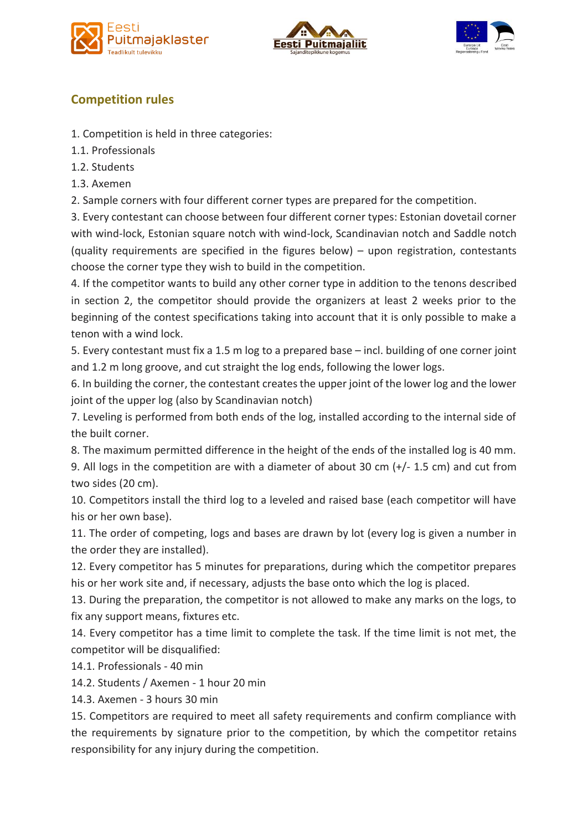





# **Competition rules**

- 1. Competition is held in three categories:
- 1.1. Professionals
- 1.2. Students
- 1.3. Axemen
- 2. Sample corners with four different corner types are prepared for the competition.

3. Every contestant can choose between four different corner types: Estonian dovetail corner with wind-lock, Estonian square notch with wind-lock, Scandinavian notch and Saddle notch (quality requirements are specified in the figures below) – upon registration, contestants choose the corner type they wish to build in the competition.

4. If the competitor wants to build any other corner type in addition to the tenons described in section 2, the competitor should provide the organizers at least 2 weeks prior to the beginning of the contest specifications taking into account that it is only possible to make a tenon with a wind lock.

5. Every contestant must fix a 1.5 m log to a prepared base – incl. building of one corner joint and 1.2 m long groove, and cut straight the log ends, following the lower logs.

6. In building the corner, the contestant creates the upper joint of the lower log and the lower joint of the upper log (also by Scandinavian notch)

7. Leveling is performed from both ends of the log, installed according to the internal side of the built corner.

8. The maximum permitted difference in the height of the ends of the installed log is 40 mm.

9. All logs in the competition are with a diameter of about 30 cm (+/- 1.5 cm) and cut from two sides (20 cm).

10. Competitors install the third log to a leveled and raised base (each competitor will have his or her own base).

11. The order of competing, logs and bases are drawn by lot (every log is given a number in the order they are installed).

12. Every competitor has 5 minutes for preparations, during which the competitor prepares his or her work site and, if necessary, adjusts the base onto which the log is placed.

13. During the preparation, the competitor is not allowed to make any marks on the logs, to fix any support means, fixtures etc.

14. Every competitor has a time limit to complete the task. If the time limit is not met, the competitor will be disqualified:

14.1. Professionals - 40 min

14.2. Students / Axemen - 1 hour 20 min

14.3. Axemen - 3 hours 30 min

15. Competitors are required to meet all safety requirements and confirm compliance with the requirements by signature prior to the competition, by which the competitor retains responsibility for any injury during the competition.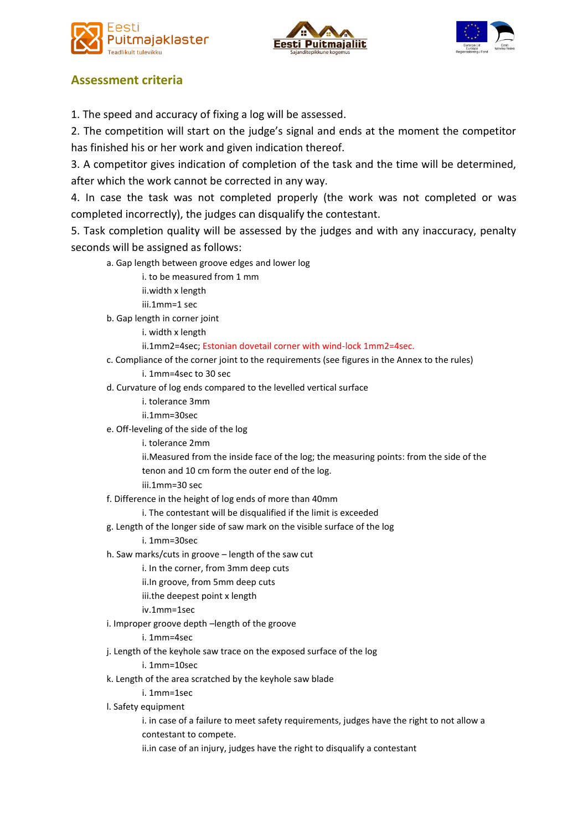





# **Assessment criteria**

1. The speed and accuracy of fixing a log will be assessed.

2. The competition will start on the judge's signal and ends at the moment the competitor has finished his or her work and given indication thereof.

3. A competitor gives indication of completion of the task and the time will be determined, after which the work cannot be corrected in any way.

4. In case the task was not completed properly (the work was not completed or was completed incorrectly), the judges can disqualify the contestant.

5. Task completion quality will be assessed by the judges and with any inaccuracy, penalty seconds will be assigned as follows:

- a. Gap length between groove edges and lower log
	- i. to be measured from 1 mm
	- ii.width x length
	- iii.1mm=1 sec
- b. Gap length in corner joint
	- i. width x length
	- ii.1mm2=4sec; Estonian dovetail corner with wind-lock 1mm2=4sec.
- c. Compliance of the corner joint to the requirements (see figures in the Annex to the rules)
	- i. 1mm=4sec to 30 sec
- d. Curvature of log ends compared to the levelled vertical surface
	- i. tolerance 3mm
	- ii.1mm=30sec
- e. Off-leveling of the side of the log
	- i. tolerance 2mm
	- ii.Measured from the inside face of the log; the measuring points: from the side of the tenon and 10 cm form the outer end of the log.
	- iii.1mm=30 sec
- f. Difference in the height of log ends of more than 40mm
	- i. The contestant will be disqualified if the limit is exceeded
- g. Length of the longer side of saw mark on the visible surface of the log
	- i. 1mm=30sec
- h. Saw marks/cuts in groove length of the saw cut
	- i. In the corner, from 3mm deep cuts
	- ii.In groove, from 5mm deep cuts
	- iii.the deepest point x length
	- iv.1mm=1sec
- i. Improper groove depth –length of the groove
	- i. 1mm=4sec
- j. Length of the keyhole saw trace on the exposed surface of the log
	- i. 1mm=10sec
- k. Length of the area scratched by the keyhole saw blade
	- i. 1mm=1sec
- l. Safety equipment
	- i. in case of a failure to meet safety requirements, judges have the right to not allow a contestant to compete.
	- ii.in case of an injury, judges have the right to disqualify a contestant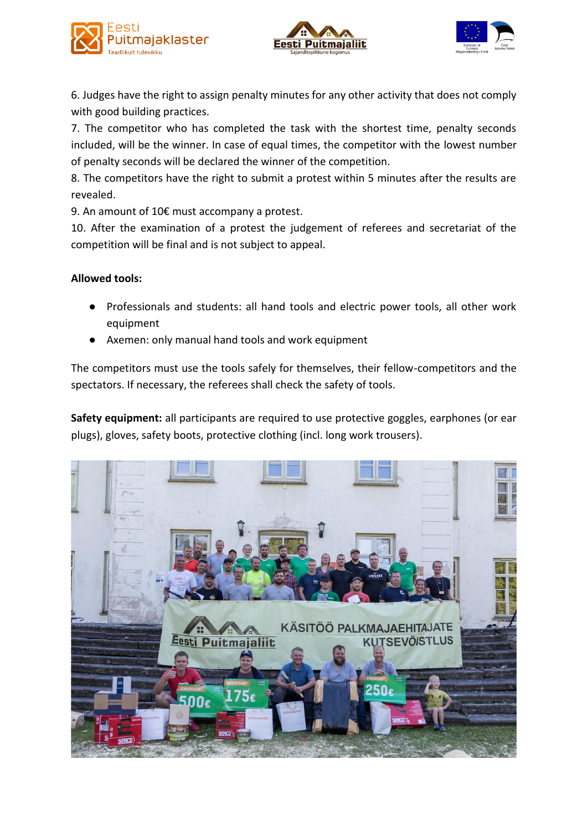





6. Judges have the right to assign penalty minutes for any other activity that does not comply with good building practices.

7. The competitor who has completed the task with the shortest time, penalty seconds included, will be the winner. In case of equal times, the competitor with the lowest number of penalty seconds will be declared the winner of the competition.

8. The competitors have the right to submit a protest within 5 minutes after the results are revealed.

9. An amount of 10€ must accompany a protest.

10. After the examination of a protest the judgement of referees and secretariat of the competition will be final and is not subject to appeal.

## **Allowed tools:**

- Professionals and students: all hand tools and electric power tools, all other work equipment
- Axemen: only manual hand tools and work equipment

The competitors must use the tools safely for themselves, their fellow-competitors and the spectators. If necessary, the referees shall check the safety of tools.

**Safety equipment:** all participants are required to use protective goggles, earphones (or ear plugs), gloves, safety boots, protective clothing (incl. long work trousers).

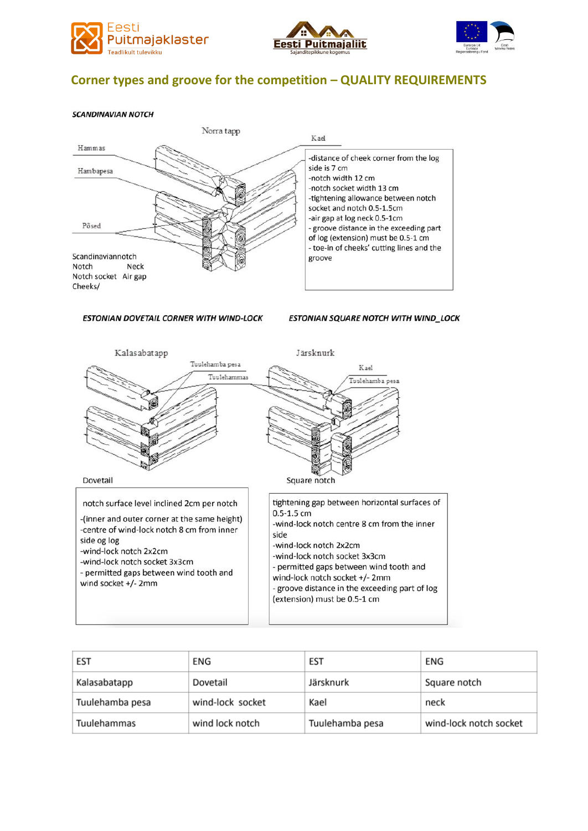





## Corner types and groove for the competition - QUALITY REQUIREMENTS

#### **SCANDINAVIAN NOTCH**



#### ESTONIAN DOVETAIL CORNER WITH WIND-LOCK

ESTONIAN SQUARE NOTCH WITH WIND\_LOCK



| EST             | ENG              | EST             | ENG                    |
|-----------------|------------------|-----------------|------------------------|
| Kalasabatapp    | Dovetail         | Järsknurk       | Square notch           |
| Tuulehamba pesa | wind-lock socket | Kael            | neck                   |
| Tuulehammas     | wind lock notch  | Tuulehamba pesa | wind-lock notch socket |